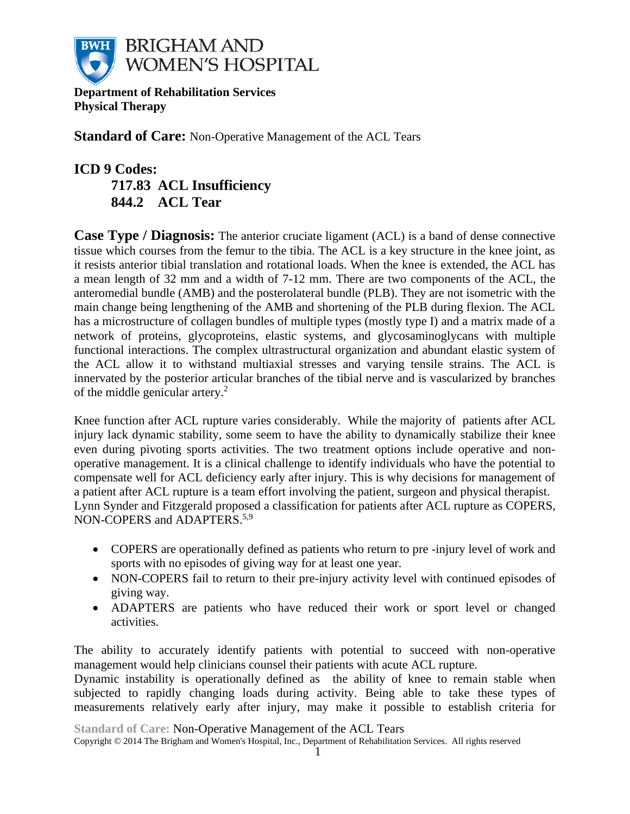

**Department of Rehabilitation Services Physical Therapy**

**Standard of Care:** Non-Operative Management of the ACL Tears

# **ICD 9 Codes: 717.83 ACL Insufficiency 844.2 ACL Tear**

**Case Type / Diagnosis:** The anterior cruciate ligament (ACL) is a band of dense connective tissue which courses from the femur to the tibia. The ACL is a key structure in the knee joint, as it resists anterior tibial translation and rotational loads. When the knee is extended, the ACL has a mean length of 32 mm and a width of 7-12 mm. There are two components of the ACL, the anteromedial bundle (AMB) and the posterolateral bundle (PLB). They are not isometric with the main change being lengthening of the AMB and shortening of the PLB during flexion. The ACL has a microstructure of collagen bundles of multiple types (mostly type I) and a matrix made of a network of proteins, glycoproteins, elastic systems, and glycosaminoglycans with multiple functional interactions. The complex ultrastructural organization and abundant elastic system of the ACL allow it to withstand multiaxial stresses and varying tensile strains. The ACL is innervated by the posterior articular branches of the tibial nerve and is vascularized by branches of the middle genicular artery. 2

Knee function after ACL rupture varies considerably. While the majority of patients after ACL injury lack dynamic stability, some seem to have the ability to dynamically stabilize their knee even during pivoting sports activities. The two treatment options include operative and nonoperative management. It is a clinical challenge to identify individuals who have the potential to compensate well for ACL deficiency early after injury. This is why decisions for management of a patient after ACL rupture is a team effort involving the patient, surgeon and physical therapist. Lynn Synder and Fitzgerald proposed a classification for patients after ACL rupture as COPERS, NON-COPERS and ADAPTERS.<sup>5,9</sup>

- COPERS are operationally defined as patients who return to pre -injury level of work and sports with no episodes of giving way for at least one year.
- NON-COPERS fail to return to their pre-injury activity level with continued episodes of giving way.
- ADAPTERS are patients who have reduced their work or sport level or changed activities.

The ability to accurately identify patients with potential to succeed with non-operative management would help clinicians counsel their patients with acute ACL rupture.

Dynamic instability is operationally defined as the ability of knee to remain stable when subjected to rapidly changing loads during activity. Being able to take these types of measurements relatively early after injury, may make it possible to establish criteria for

**Standard of Care:** Non-Operative Management of the ACL Tears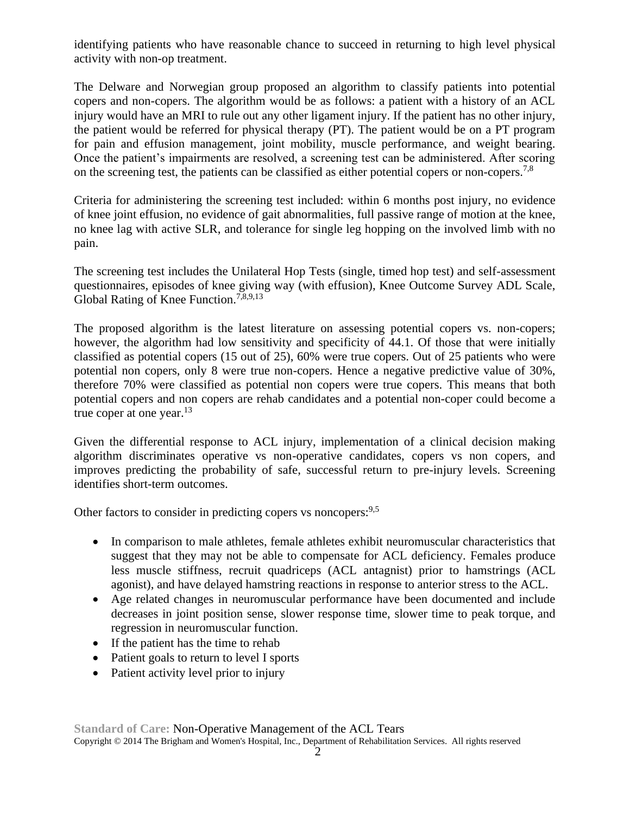identifying patients who have reasonable chance to succeed in returning to high level physical activity with non-op treatment.

The Delware and Norwegian group proposed an algorithm to classify patients into potential copers and non-copers. The algorithm would be as follows: a patient with a history of an ACL injury would have an MRI to rule out any other ligament injury. If the patient has no other injury, the patient would be referred for physical therapy (PT). The patient would be on a PT program for pain and effusion management, joint mobility, muscle performance, and weight bearing. Once the patient's impairments are resolved, a screening test can be administered. After scoring on the screening test, the patients can be classified as either potential copers or non-copers.<sup>7,8</sup>

Criteria for administering the screening test included: within 6 months post injury, no evidence of knee joint effusion, no evidence of gait abnormalities, full passive range of motion at the knee, no knee lag with active SLR, and tolerance for single leg hopping on the involved limb with no pain.

The screening test includes the Unilateral Hop Tests (single, timed hop test) and self-assessment questionnaires, episodes of knee giving way (with effusion), Knee Outcome Survey ADL Scale, Global Rating of Knee Function.<sup>7,8,9,13</sup>

The proposed algorithm is the latest literature on assessing potential copers vs. non-copers; however, the algorithm had low sensitivity and specificity of 44.1. Of those that were initially classified as potential copers (15 out of 25), 60% were true copers. Out of 25 patients who were potential non copers, only 8 were true non-copers. Hence a negative predictive value of 30%, therefore 70% were classified as potential non copers were true copers. This means that both potential copers and non copers are rehab candidates and a potential non-coper could become a true coper at one year. $13$ 

Given the differential response to ACL injury, implementation of a clinical decision making algorithm discriminates operative vs non-operative candidates, copers vs non copers, and improves predicting the probability of safe, successful return to pre-injury levels. Screening identifies short-term outcomes.

Other factors to consider in predicting copers vs noncopers:<sup>9,5</sup>

- In comparison to male athletes, female athletes exhibit neuromuscular characteristics that suggest that they may not be able to compensate for ACL deficiency. Females produce less muscle stiffness, recruit quadriceps (ACL antagnist) prior to hamstrings (ACL agonist), and have delayed hamstring reactions in response to anterior stress to the ACL.
- Age related changes in neuromuscular performance have been documented and include decreases in joint position sense, slower response time, slower time to peak torque, and regression in neuromuscular function.
- If the patient has the time to rehab
- Patient goals to return to level I sports
- Patient activity level prior to injury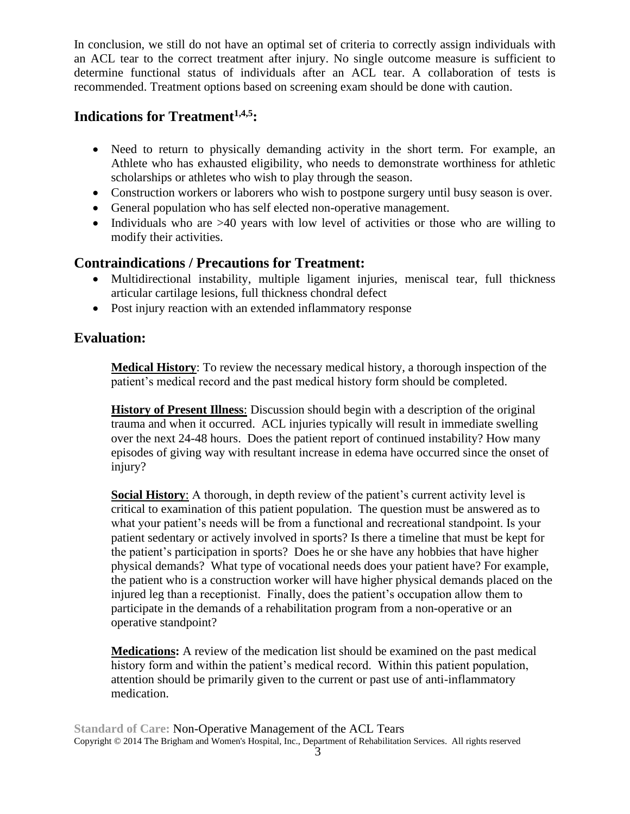In conclusion, we still do not have an optimal set of criteria to correctly assign individuals with an ACL tear to the correct treatment after injury. No single outcome measure is sufficient to determine functional status of individuals after an ACL tear. A collaboration of tests is recommended. Treatment options based on screening exam should be done with caution.

# **Indications for Treatment1,4,5:**

- Need to return to physically demanding activity in the short term. For example, an Athlete who has exhausted eligibility, who needs to demonstrate worthiness for athletic scholarships or athletes who wish to play through the season.
- Construction workers or laborers who wish to postpone surgery until busy season is over.
- General population who has self elected non-operative management.
- Individuals who are >40 years with low level of activities or those who are willing to modify their activities.

# **Contraindications / Precautions for Treatment:**

- Multidirectional instability, multiple ligament injuries, meniscal tear, full thickness articular cartilage lesions, full thickness chondral defect
- Post injury reaction with an extended inflammatory response

# **Evaluation:**

**Medical History**: To review the necessary medical history, a thorough inspection of the patient's medical record and the past medical history form should be completed.

**History of Present Illness**: Discussion should begin with a description of the original trauma and when it occurred. ACL injuries typically will result in immediate swelling over the next 24-48 hours. Does the patient report of continued instability? How many episodes of giving way with resultant increase in edema have occurred since the onset of injury?

**Social History**: A thorough, in depth review of the patient's current activity level is critical to examination of this patient population. The question must be answered as to what your patient's needs will be from a functional and recreational standpoint. Is your patient sedentary or actively involved in sports? Is there a timeline that must be kept for the patient's participation in sports? Does he or she have any hobbies that have higher physical demands? What type of vocational needs does your patient have? For example, the patient who is a construction worker will have higher physical demands placed on the injured leg than a receptionist. Finally, does the patient's occupation allow them to participate in the demands of a rehabilitation program from a non-operative or an operative standpoint?

**Medications:** A review of the medication list should be examined on the past medical history form and within the patient's medical record. Within this patient population, attention should be primarily given to the current or past use of anti-inflammatory medication.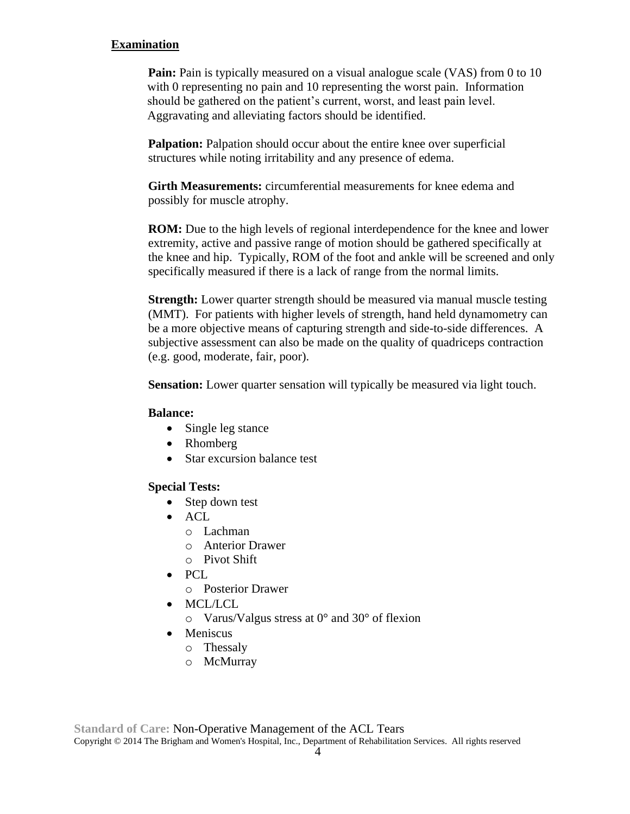#### **Examination**

**Pain:** Pain is typically measured on a visual analogue scale (VAS) from 0 to 10 with 0 representing no pain and 10 representing the worst pain. Information should be gathered on the patient's current, worst, and least pain level. Aggravating and alleviating factors should be identified.

**Palpation:** Palpation should occur about the entire knee over superficial structures while noting irritability and any presence of edema.

**Girth Measurements:** circumferential measurements for knee edema and possibly for muscle atrophy.

**ROM:** Due to the high levels of regional interdependence for the knee and lower extremity, active and passive range of motion should be gathered specifically at the knee and hip. Typically, ROM of the foot and ankle will be screened and only specifically measured if there is a lack of range from the normal limits.

**Strength:** Lower quarter strength should be measured via manual muscle testing (MMT). For patients with higher levels of strength, hand held dynamometry can be a more objective means of capturing strength and side-to-side differences. A subjective assessment can also be made on the quality of quadriceps contraction (e.g. good, moderate, fair, poor).

**Sensation:** Lower quarter sensation will typically be measured via light touch.

#### **Balance:**

- Single leg stance
- Rhomberg
- Star excursion balance test

### **Special Tests:**

- Step down test
- $\bullet$  ACL
	- o Lachman
	- o Anterior Drawer
	- o Pivot Shift
- PCL
	- o Posterior Drawer
- MCL/LCL
	- o Varus/Valgus stress at 0° and 30° of flexion
- Meniscus
	- o Thessaly
	- o McMurray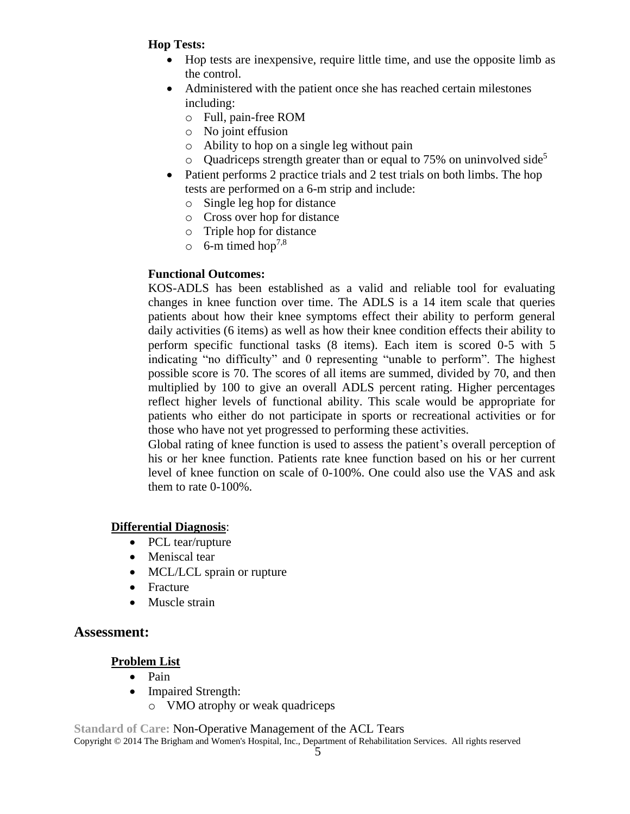### **Hop Tests:**

- Hop tests are inexpensive, require little time, and use the opposite limb as the control.
- Administered with the patient once she has reached certain milestones including:
	- o Full, pain-free ROM
	- o No joint effusion
	- o Ability to hop on a single leg without pain
	- Ouadriceps strength greater than or equal to 75% on uninvolved side<sup>5</sup>
- Patient performs 2 practice trials and 2 test trials on both limbs. The hop tests are performed on a 6-m strip and include:
	- o Single leg hop for distance
	- o Cross over hop for distance
	- o Triple hop for distance
	- $\circ$  6-m timed hop<sup>7,8</sup>

### **Functional Outcomes:**

KOS-ADLS has been established as a valid and reliable tool for evaluating changes in knee function over time. The ADLS is a 14 item scale that queries patients about how their knee symptoms effect their ability to perform general daily activities (6 items) as well as how their knee condition effects their ability to perform specific functional tasks (8 items). Each item is scored 0-5 with 5 indicating "no difficulty" and 0 representing "unable to perform". The highest possible score is 70. The scores of all items are summed, divided by 70, and then multiplied by 100 to give an overall ADLS percent rating. Higher percentages reflect higher levels of functional ability. This scale would be appropriate for patients who either do not participate in sports or recreational activities or for those who have not yet progressed to performing these activities.

Global rating of knee function is used to assess the patient's overall perception of his or her knee function. Patients rate knee function based on his or her current level of knee function on scale of 0-100%. One could also use the VAS and ask them to rate 0-100%.

### **Differential Diagnosis**:

- PCL tear/rupture
- Meniscal tear
- MCL/LCL sprain or rupture
- Fracture
- Muscle strain

## **Assessment:**

## **Problem List**

- Pain
- Impaired Strength:
	- o VMO atrophy or weak quadriceps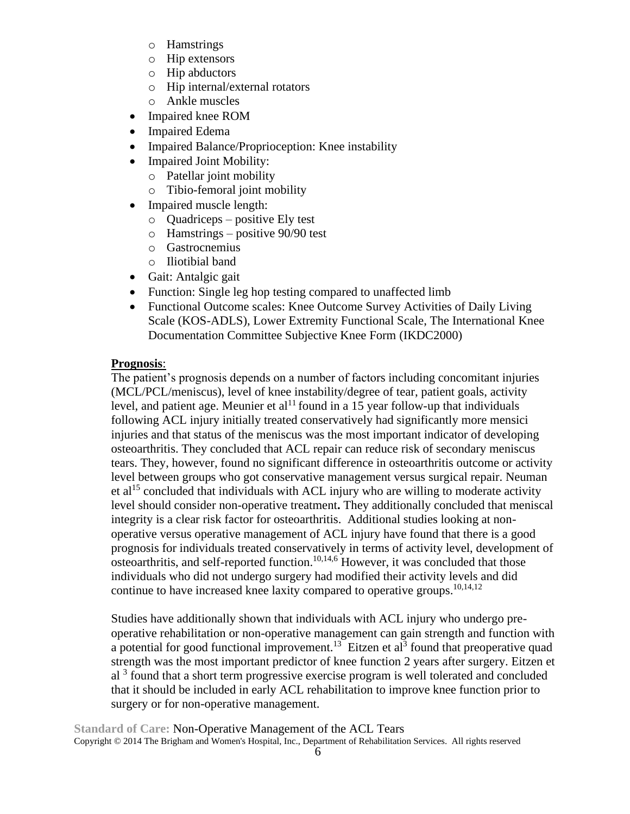- o Hamstrings
- o Hip extensors
- o Hip abductors
- o Hip internal/external rotators
- o Ankle muscles
- Impaired knee ROM
- Impaired Edema
- Impaired Balance/Proprioception: Knee instability
- Impaired Joint Mobility:
	- o Patellar joint mobility
	- o Tibio-femoral joint mobility
- Impaired muscle length:
	- o Quadriceps positive Ely test
	- o Hamstrings positive 90/90 test
	- o Gastrocnemius
	- o Iliotibial band
- Gait: Antalgic gait
- Function: Single leg hop testing compared to unaffected limb
- Functional Outcome scales: Knee Outcome Survey Activities of Daily Living Scale (KOS-ADLS), Lower Extremity Functional Scale, The International Knee Documentation Committee Subjective Knee Form (IKDC2000)

### **Prognosis**:

The patient's prognosis depends on a number of factors including concomitant injuries (MCL/PCL/meniscus), level of knee instability/degree of tear, patient goals, activity level, and patient age. Meunier et al<sup>11</sup> found in a 15 year follow-up that individuals following ACL injury initially treated conservatively had significantly more mensici injuries and that status of the meniscus was the most important indicator of developing osteoarthritis. They concluded that ACL repair can reduce risk of secondary meniscus tears. They, however, found no significant difference in osteoarthritis outcome or activity level between groups who got conservative management versus surgical repair. Neuman et al<sup>15</sup> concluded that individuals with ACL injury who are willing to moderate activity level should consider non-operative treatment**.** They additionally concluded that meniscal integrity is a clear risk factor for osteoarthritis. Additional studies looking at nonoperative versus operative management of ACL injury have found that there is a good prognosis for individuals treated conservatively in terms of activity level, development of osteoarthritis, and self-reported function. 10,14,6 However, it was concluded that those individuals who did not undergo surgery had modified their activity levels and did continue to have increased knee laxity compared to operative groups.<sup>10,14,12</sup>

Studies have additionally shown that individuals with ACL injury who undergo preoperative rehabilitation or non-operative management can gain strength and function with a potential for good functional improvement.<sup>13</sup> Eitzen et al<sup>3</sup> found that preoperative quad strength was the most important predictor of knee function 2 years after surgery. Eitzen et al <sup>3</sup> found that a short term progressive exercise program is well tolerated and concluded that it should be included in early ACL rehabilitation to improve knee function prior to surgery or for non-operative management.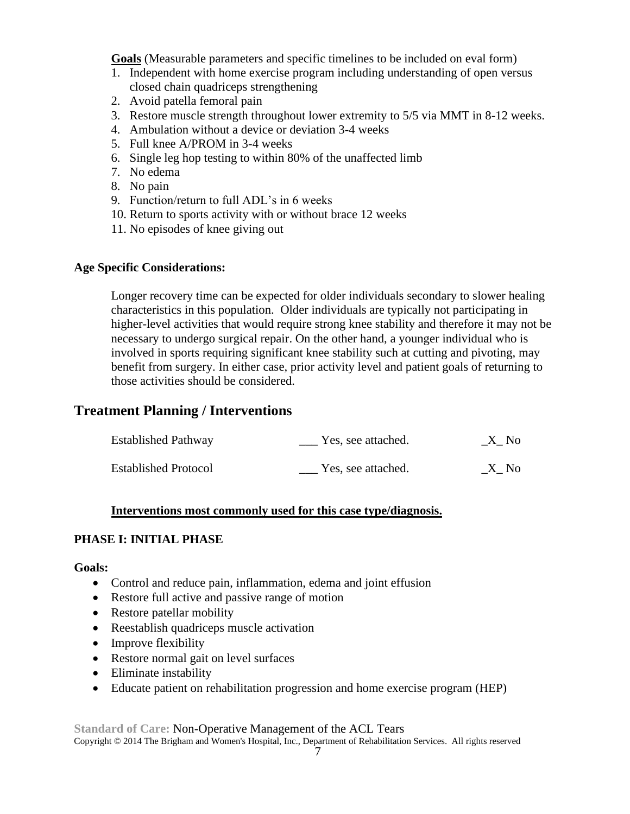**Goals** (Measurable parameters and specific timelines to be included on eval form)

- 1. Independent with home exercise program including understanding of open versus closed chain quadriceps strengthening
- 2. Avoid patella femoral pain
- 3. Restore muscle strength throughout lower extremity to 5/5 via MMT in 8-12 weeks.
- 4. Ambulation without a device or deviation 3-4 weeks
- 5. Full knee A/PROM in 3-4 weeks
- 6. Single leg hop testing to within 80% of the unaffected limb
- 7. No edema
- 8. No pain
- 9. Function/return to full ADL's in 6 weeks
- 10. Return to sports activity with or without brace 12 weeks
- 11. No episodes of knee giving out

#### **Age Specific Considerations:**

Longer recovery time can be expected for older individuals secondary to slower healing characteristics in this population. Older individuals are typically not participating in higher-level activities that would require strong knee stability and therefore it may not be necessary to undergo surgical repair. On the other hand, a younger individual who is involved in sports requiring significant knee stability such at cutting and pivoting, may benefit from surgery. In either case, prior activity level and patient goals of returning to those activities should be considered.

### **Treatment Planning / Interventions**

| <b>Established Pathway</b>  | Yes, see attached. | _X_ No |
|-----------------------------|--------------------|--------|
| <b>Established Protocol</b> | Yes, see attached. | X No   |

#### **Interventions most commonly used for this case type/diagnosis.**

#### **PHASE I: INITIAL PHASE**

#### **Goals:**

- Control and reduce pain, inflammation, edema and joint effusion
- Restore full active and passive range of motion
- Restore patellar mobility
- Reestablish quadriceps muscle activation
- Improve flexibility
- Restore normal gait on level surfaces
- Eliminate instability
- Educate patient on rehabilitation progression and home exercise program (HEP)

**Standard of Care:** Non-Operative Management of the ACL Tears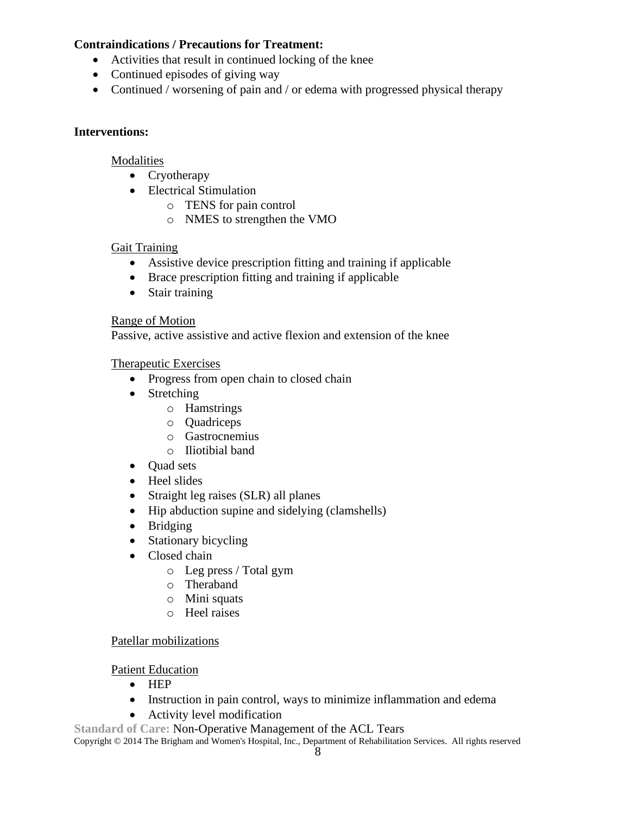### **Contraindications / Precautions for Treatment:**

- Activities that result in continued locking of the knee
- Continued episodes of giving way
- Continued / worsening of pain and / or edema with progressed physical therapy

### **Interventions:**

#### Modalities

- Cryotherapy
- Electrical Stimulation
	- o TENS for pain control
	- o NMES to strengthen the VMO

### Gait Training

- Assistive device prescription fitting and training if applicable
- Brace prescription fitting and training if applicable
- Stair training

#### Range of Motion

Passive, active assistive and active flexion and extension of the knee

#### Therapeutic Exercises

- Progress from open chain to closed chain
- Stretching
	- o Hamstrings
	- o Quadriceps
	- o Gastrocnemius
	- o Iliotibial band
- Ouad sets
- Heel slides
- Straight leg raises (SLR) all planes
- Hip abduction supine and sidelying (clamshells)
- Bridging
- Stationary bicycling
- Closed chain
	- o Leg press / Total gym
	- o Theraband
	- o Mini squats
	- o Heel raises

### Patellar mobilizations

### Patient Education

- HEP
- Instruction in pain control, ways to minimize inflammation and edema
- Activity level modification

**Standard of Care:** Non-Operative Management of the ACL Tears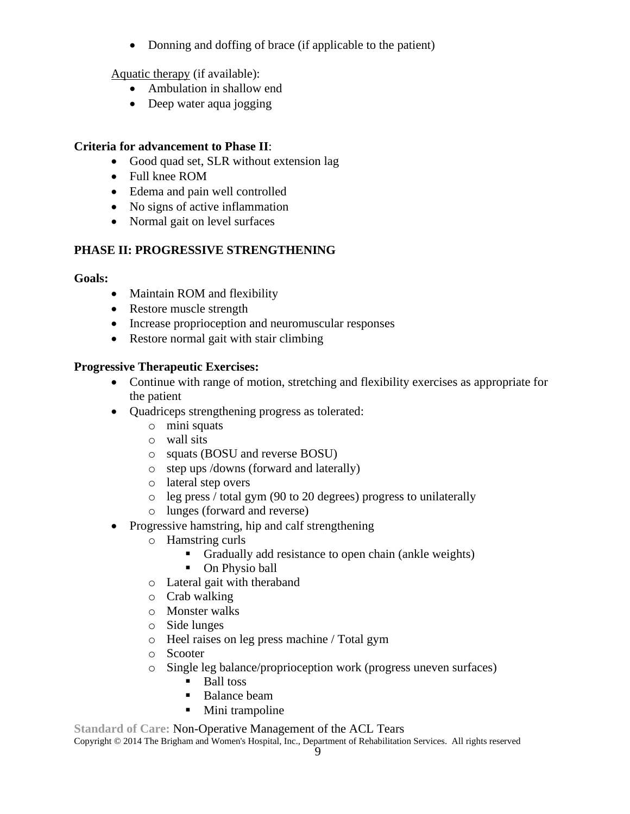• Donning and doffing of brace (if applicable to the patient)

Aquatic therapy (if available):

- Ambulation in shallow end
- Deep water aqua jogging

### **Criteria for advancement to Phase II**:

- Good quad set, SLR without extension lag
- Full knee ROM
- Edema and pain well controlled
- No signs of active inflammation
- Normal gait on level surfaces

### **PHASE II: PROGRESSIVE STRENGTHENING**

### **Goals:**

- Maintain ROM and flexibility
- Restore muscle strength
- Increase proprioception and neuromuscular responses
- Restore normal gait with stair climbing

### **Progressive Therapeutic Exercises:**

- Continue with range of motion, stretching and flexibility exercises as appropriate for the patient
- Quadriceps strengthening progress as tolerated:
	- o mini squats
	- o wall sits
	- o squats (BOSU and reverse BOSU)
	- o step ups /downs (forward and laterally)
	- o lateral step overs
	- o leg press / total gym (90 to 20 degrees) progress to unilaterally
	- o lunges (forward and reverse)
- Progressive hamstring, hip and calf strengthening
	- o Hamstring curls
		- Gradually add resistance to open chain (ankle weights)
		- On Physio ball
	- o Lateral gait with theraband
	- o Crab walking
	- o Monster walks
	- o Side lunges
	- o Heel raises on leg press machine / Total gym
	- o Scooter
	- o Single leg balance/proprioception work (progress uneven surfaces)
		- Ball toss
		- Balance beam
		- Mini trampoline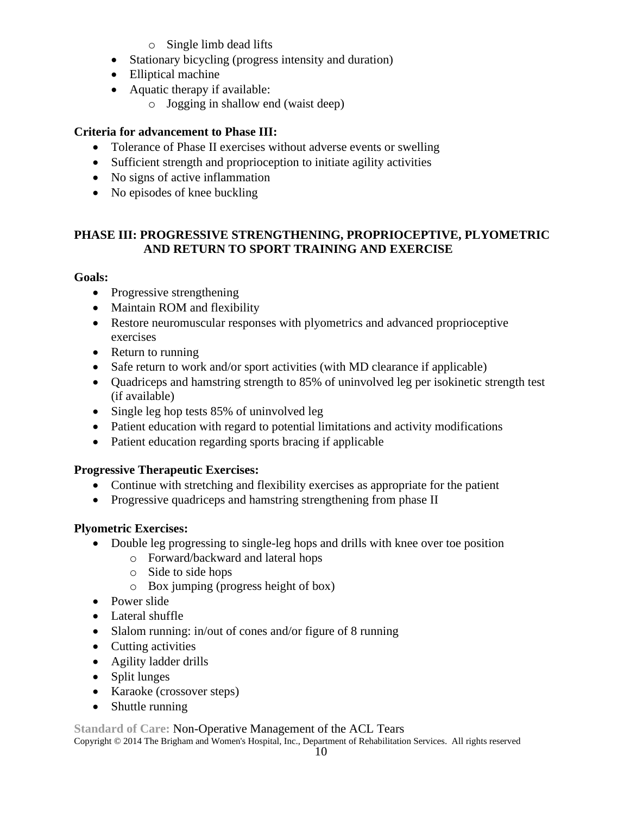- o Single limb dead lifts
- Stationary bicycling (progress intensity and duration)
- Elliptical machine
- Aquatic therapy if available:
	- o Jogging in shallow end (waist deep)

# **Criteria for advancement to Phase III:**

- Tolerance of Phase II exercises without adverse events or swelling
- Sufficient strength and proprioception to initiate agility activities
- No signs of active inflammation
- No episodes of knee buckling

## **PHASE III: PROGRESSIVE STRENGTHENING, PROPRIOCEPTIVE, PLYOMETRIC AND RETURN TO SPORT TRAINING AND EXERCISE**

## **Goals:**

- Progressive strengthening
- Maintain ROM and flexibility
- Restore neuromuscular responses with plyometrics and advanced proprioceptive exercises
- Return to running
- Safe return to work and/or sport activities (with MD clearance if applicable)
- Quadriceps and hamstring strength to 85% of uninvolved leg per isokinetic strength test (if available)
- Single leg hop tests 85% of uninvolved leg
- Patient education with regard to potential limitations and activity modifications
- Patient education regarding sports bracing if applicable

## **Progressive Therapeutic Exercises:**

- Continue with stretching and flexibility exercises as appropriate for the patient
- Progressive quadriceps and hamstring strengthening from phase II

## **Plyometric Exercises:**

- Double leg progressing to single-leg hops and drills with knee over toe position
	- o Forward/backward and lateral hops
	- o Side to side hops
	- o Box jumping (progress height of box)
- Power slide
- Lateral shuffle
- Slalom running: in/out of cones and/or figure of 8 running
- Cutting activities
- Agility ladder drills
- Split lunges
- Karaoke (crossover steps)
- Shuttle running

**Standard of Care:** Non-Operative Management of the ACL Tears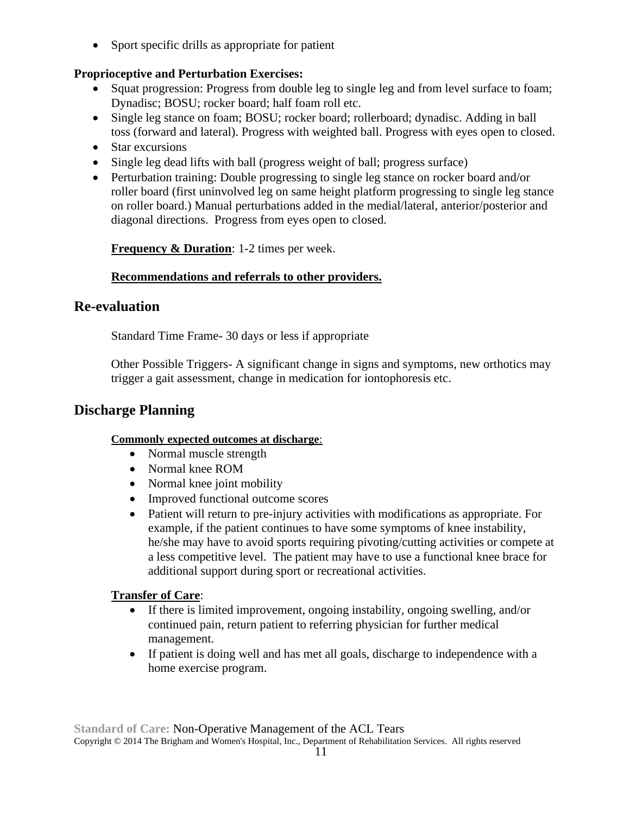• Sport specific drills as appropriate for patient

## **Proprioceptive and Perturbation Exercises:**

- Squat progression: Progress from double leg to single leg and from level surface to foam; Dynadisc; BOSU; rocker board; half foam roll etc.
- Single leg stance on foam; BOSU; rocker board; rollerboard; dynadisc. Adding in ball toss (forward and lateral). Progress with weighted ball. Progress with eyes open to closed.
- Star excursions
- Single leg dead lifts with ball (progress weight of ball; progress surface)
- Perturbation training: Double progressing to single leg stance on rocker board and/or roller board (first uninvolved leg on same height platform progressing to single leg stance on roller board.) Manual perturbations added in the medial/lateral, anterior/posterior and diagonal directions. Progress from eyes open to closed.

**Frequency & Duration:** 1-2 times per week.

### **Recommendations and referrals to other providers.**

### **Re-evaluation**

Standard Time Frame- 30 days or less if appropriate

Other Possible Triggers- A significant change in signs and symptoms, new orthotics may trigger a gait assessment, change in medication for iontophoresis etc.

## **Discharge Planning**

### **Commonly expected outcomes at discharge**:

- Normal muscle strength
- Normal knee ROM
- Normal knee joint mobility
- Improved functional outcome scores
- Patient will return to pre-injury activities with modifications as appropriate. For example, if the patient continues to have some symptoms of knee instability, he/she may have to avoid sports requiring pivoting/cutting activities or compete at a less competitive level. The patient may have to use a functional knee brace for additional support during sport or recreational activities.

### **Transfer of Care**:

- If there is limited improvement, ongoing instability, ongoing swelling, and/or continued pain, return patient to referring physician for further medical management.
- If patient is doing well and has met all goals, discharge to independence with a home exercise program.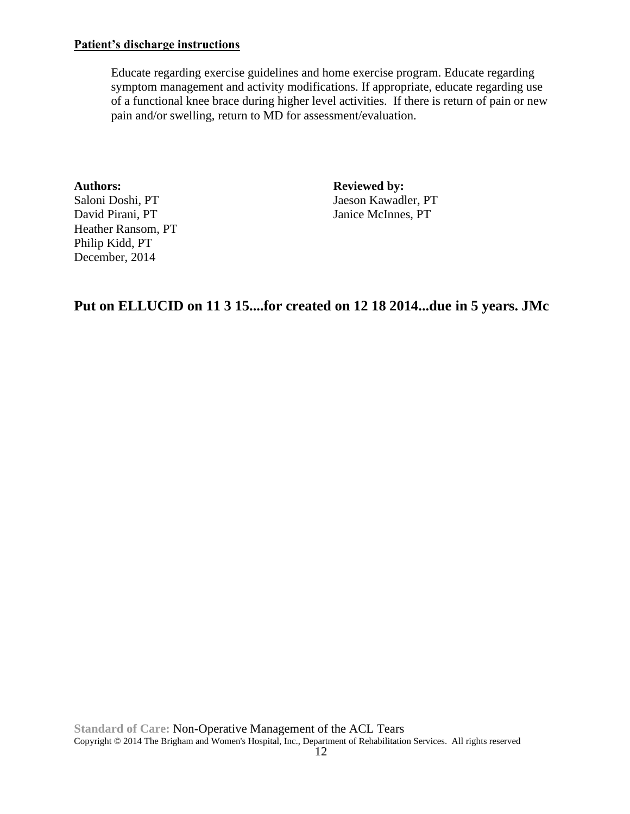#### **Patient's discharge instructions**

Educate regarding exercise guidelines and home exercise program. Educate regarding symptom management and activity modifications. If appropriate, educate regarding use of a functional knee brace during higher level activities. If there is return of pain or new pain and/or swelling, return to MD for assessment/evaluation.

**Authors: Reviewed by:** Heather Ransom, PT Philip Kidd, PT December, 2014

Saloni Doshi, PT Jaeson Kawadler, PT David Pirani, PT Janice McInnes, PT

# **Put on ELLUCID on 11 3 15....for created on 12 18 2014...due in 5 years. JMc**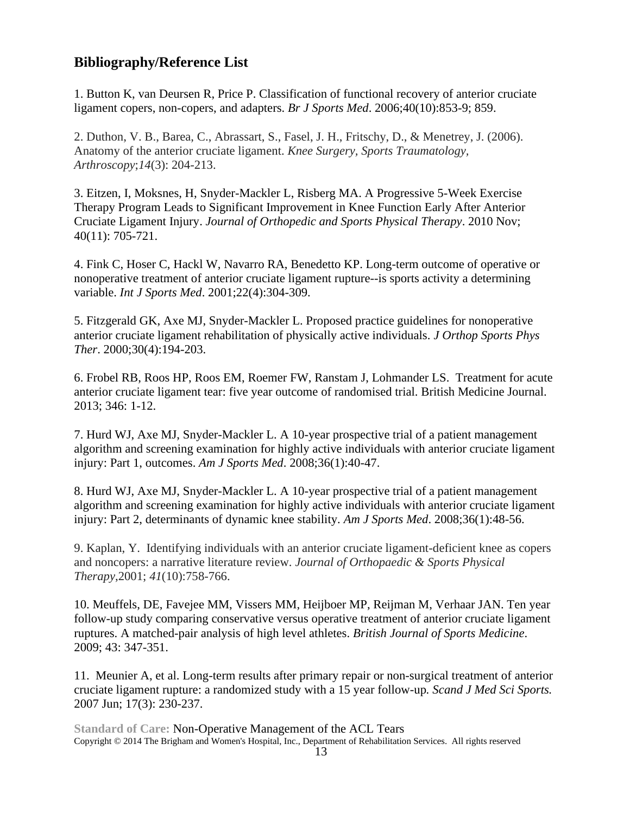# **Bibliography/Reference List**

1. Button K, van Deursen R, Price P. Classification of functional recovery of anterior cruciate ligament copers, non-copers, and adapters. *Br J Sports Med*. 2006;40(10):853-9; 859.

2. Duthon, V. B., Barea, C., Abrassart, S., Fasel, J. H., Fritschy, D., & Menetrey, J. (2006). Anatomy of the anterior cruciate ligament. *Knee Surgery, Sports Traumatology, Arthroscopy*;*14*(3): 204-213.

3. Eitzen, I, Moksnes, H, Snyder-Mackler L, Risberg MA. A Progressive 5-Week Exercise Therapy Program Leads to Significant Improvement in Knee Function Early After Anterior Cruciate Ligament Injury. *Journal of Orthopedic and Sports Physical Therapy*. 2010 Nov; 40(11): 705-721.

4. Fink C, Hoser C, Hackl W, Navarro RA, Benedetto KP. Long-term outcome of operative or nonoperative treatment of anterior cruciate ligament rupture--is sports activity a determining variable. *Int J Sports Med*. 2001;22(4):304-309.

5. Fitzgerald GK, Axe MJ, Snyder-Mackler L. Proposed practice guidelines for nonoperative anterior cruciate ligament rehabilitation of physically active individuals. *J Orthop Sports Phys Ther*. 2000;30(4):194-203.

6. Frobel RB, Roos HP, Roos EM, Roemer FW, Ranstam J, Lohmander LS. Treatment for acute anterior cruciate ligament tear: five year outcome of randomised trial. British Medicine Journal. 2013; 346: 1-12.

7. Hurd WJ, Axe MJ, Snyder-Mackler L. A 10-year prospective trial of a patient management algorithm and screening examination for highly active individuals with anterior cruciate ligament injury: Part 1, outcomes. *Am J Sports Med*. 2008;36(1):40-47.

8. Hurd WJ, Axe MJ, Snyder-Mackler L. A 10-year prospective trial of a patient management algorithm and screening examination for highly active individuals with anterior cruciate ligament injury: Part 2, determinants of dynamic knee stability. *Am J Sports Med*. 2008;36(1):48-56.

9. Kaplan, Y. Identifying individuals with an anterior cruciate ligament-deficient knee as copers and noncopers: a narrative literature review. *Journal of Orthopaedic & Sports Physical Therapy*,2001; *41*(10):758-766.

10. Meuffels, DE, Favejee MM, Vissers MM, Heijboer MP, Reijman M, Verhaar JAN. Ten year follow-up study comparing conservative versus operative treatment of anterior cruciate ligament ruptures. A matched-pair analysis of high level athletes. *British Journal of Sports Medicine*. 2009; 43: 347-351.

11. Meunier A, et al. Long-term results after primary repair or non-surgical treatment of anterior cruciate ligament rupture: a randomized study with a 15 year follow-up*. Scand J Med Sci Sports.* 2007 Jun; 17(3): 230-237.